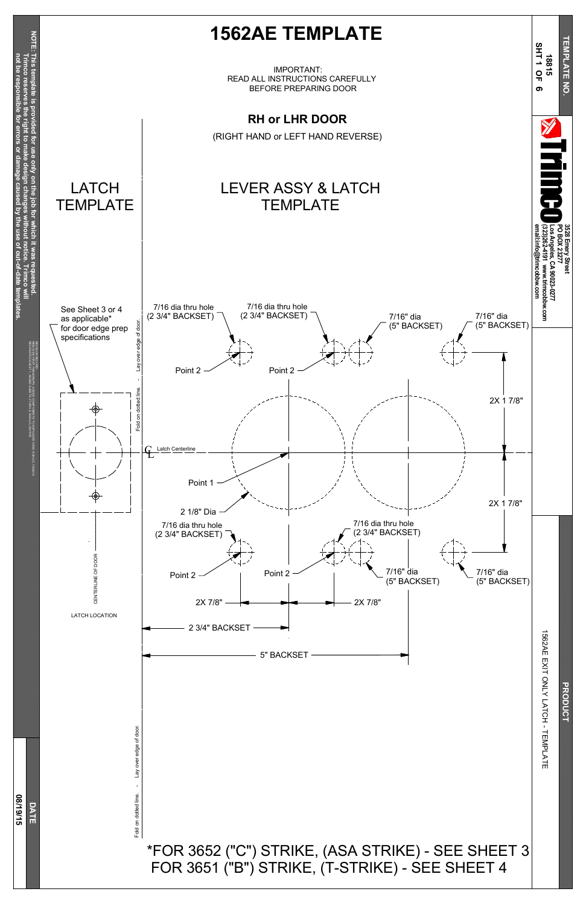Fold on dotted line. - Lay over edge of door. Lay over edge of door Fold on dotted line.





#### \*FOR 3652 ("C") STRIKE, (ASA STRIKE) - SEE SHEET 3 FOR 3651 ("B") STRIKE, (T-STRIKE) - SEE SHEET 4

ONLY LATCH - TEMPLATE

**PRODUCT**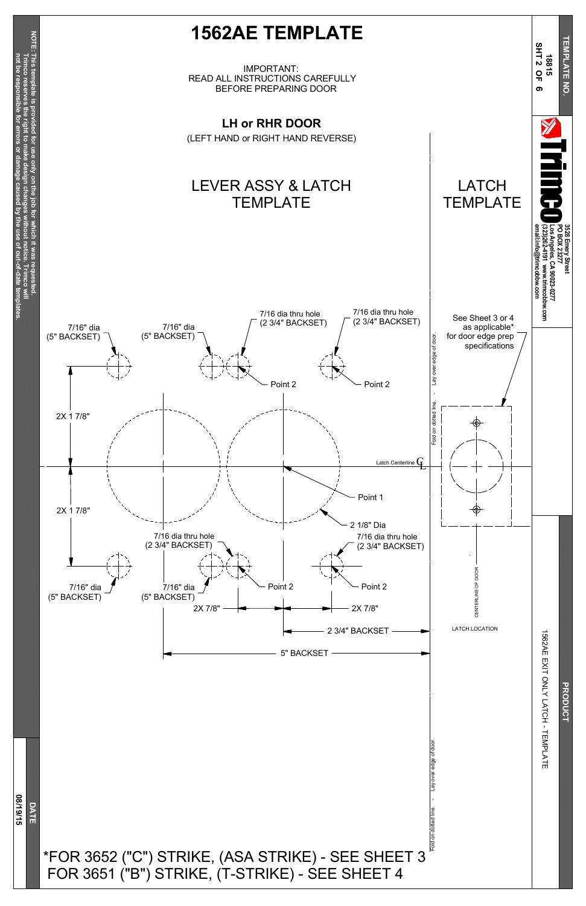Fold on dotted line. - Lay over edge of door. Lay over edge of doo Fold on dotted line.

# **PRODUCT**

### **D A T E**

## **0 8/19/15**



#### \*FOR 3652 ("C") STRIKE, (ASA STRIKE) - SEE SHEET 3 FOR 3651 ("B") STRIKE, (T-STRIKE) - SEE SHEET 4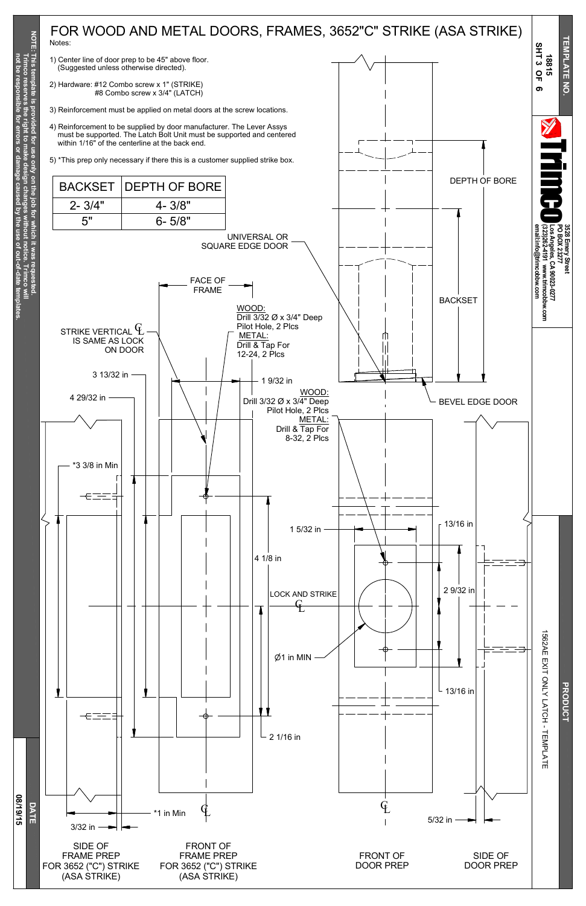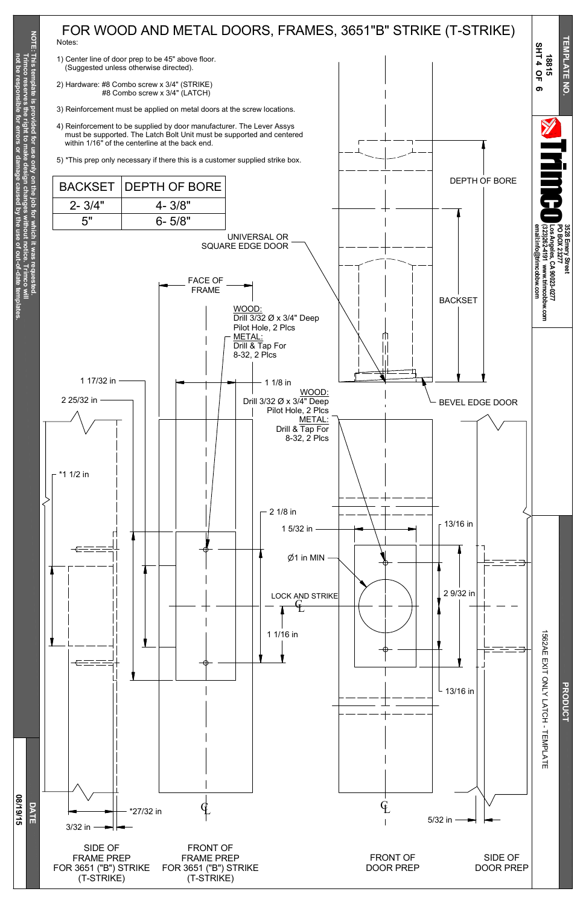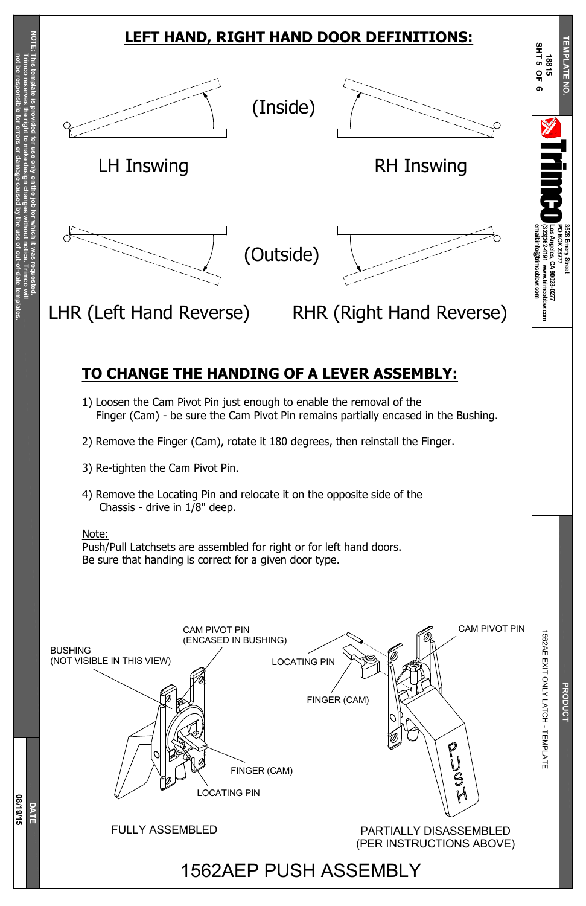**Trim c o** §<br>≡

**Trim c o**

**reserves**

**the right to make**

**design**

**changes**

**without**

**notice.**

**not be resp**

**onsible**

**for**

**errors**

**or**

**damage**

**caused**

**b y the use of**

**out-of-date**

**tem**

**plates.**

**D A T E**

**0 8/19/15**

LOCATING PIN

**PRODUCT** 

 $\stackrel{\times}{\exists}$ ONLY LATCH - TEMPLATE

m

BUSHING (NOT VISIBLE IN THIS VIEW)



PARTIALLY DISASSEMBLED (PER INSTRUCTIONS ABOVE)

U<br>Sol



#### FULLY ASSEMBLED

1562AEP PUSH ASSEMBLY